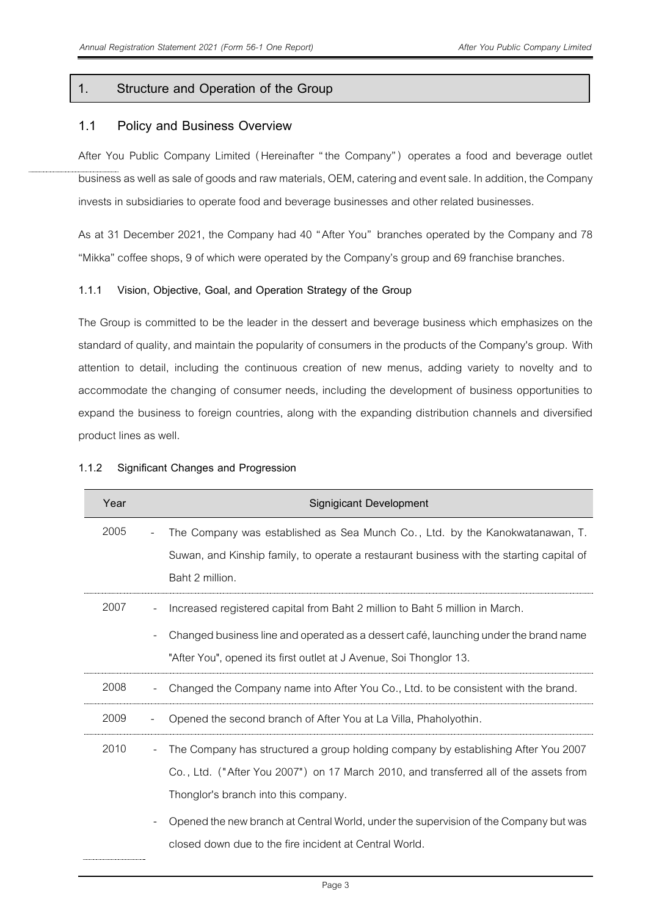## **1. Structure and Operation of the Group**

## **1.1 Policy and Business Overview**

After You Public Company Limited (Hereinafter "the Company" ) operates a food and beverage outlet businessas well as sale of goods and raw materials, OEM, catering and event sale. In addition, the Company invests in subsidiaries to operate food and beverage businesses and other related businesses.

As at 31 December 2021, the Company had 40 "After You" branches operated by the Company and 78 "Mikka" coffee shops, 9 of which were operated by the Company's group and 69 franchise branches.

## **1.1.1 Vision, Objective, Goal, and Operation Strategy of the Group**

The Group is committed to be the leader in the dessert and beverage business which emphasizes on the standard of quality, and maintain the popularity of consumers in the products of the Company's group. With attention to detail, including the continuous creation of new menus, adding variety to novelty and to accommodate the changing of consumer needs, including the development of business opportunities to expand the business to foreign countries, along with the expanding distribution channels and diversified product lines as well.

| Year |                          | Signigicant Development                                                                  |
|------|--------------------------|------------------------------------------------------------------------------------------|
| 2005 | $\overline{\phantom{a}}$ | The Company was established as Sea Munch Co., Ltd. by the Kanokwatanawan, T.             |
|      |                          | Suwan, and Kinship family, to operate a restaurant business with the starting capital of |
|      |                          | Baht 2 million.                                                                          |
| 2007 |                          | Increased registered capital from Baht 2 million to Baht 5 million in March.             |
|      |                          | Changed business line and operated as a dessert café, launching under the brand name     |
|      |                          | "After You", opened its first outlet at J Avenue, Soi Thonglor 13.                       |
| 2008 |                          | Changed the Company name into After You Co., Ltd. to be consistent with the brand.       |
| 2009 |                          | Opened the second branch of After You at La Villa, Phaholyothin.                         |
| 2010 |                          | The Company has structured a group holding company by establishing After You 2007        |
|      |                          | Co., Ltd. ("After You 2007") on 17 March 2010, and transferred all of the assets from    |
|      |                          | Thonglor's branch into this company.                                                     |
|      |                          | Opened the new branch at Central World, under the supervision of the Company but was     |
|      |                          | closed down due to the fire incident at Central World.                                   |

## **1.1.2 Significant Changes and Progression**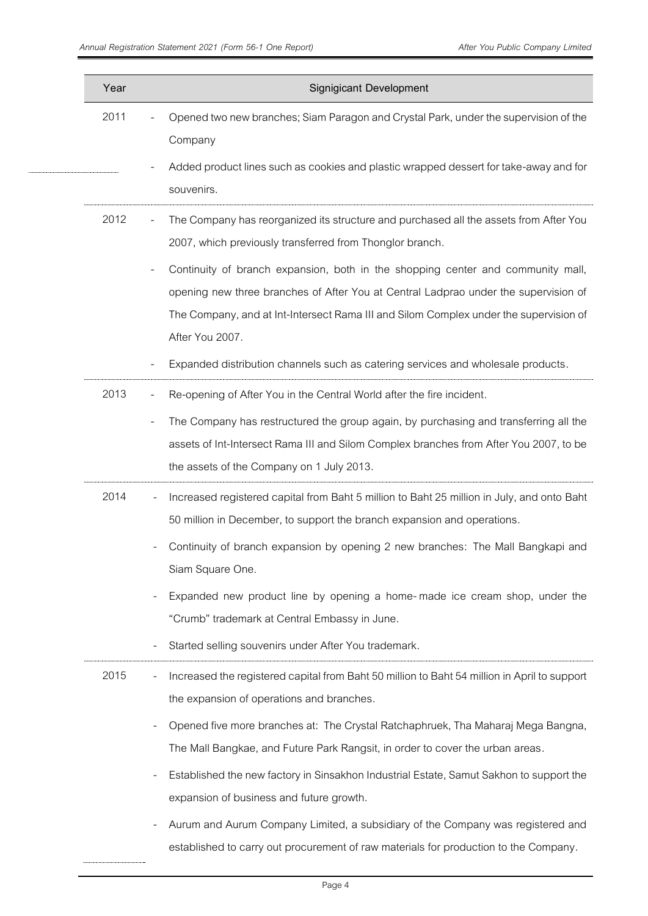| Year | <b>Signigicant Development</b>                                                                                                                                                                                                                                                                                                                                                                                                                                                                                                           |
|------|------------------------------------------------------------------------------------------------------------------------------------------------------------------------------------------------------------------------------------------------------------------------------------------------------------------------------------------------------------------------------------------------------------------------------------------------------------------------------------------------------------------------------------------|
| 2011 | Opened two new branches; Siam Paragon and Crystal Park, under the supervision of the<br>Company                                                                                                                                                                                                                                                                                                                                                                                                                                          |
|      | Added product lines such as cookies and plastic wrapped dessert for take-away and for<br>souvenirs.                                                                                                                                                                                                                                                                                                                                                                                                                                      |
| 2012 | The Company has reorganized its structure and purchased all the assets from After You<br>$\overline{\phantom{a}}$<br>2007, which previously transferred from Thonglor branch.                                                                                                                                                                                                                                                                                                                                                            |
|      | Continuity of branch expansion, both in the shopping center and community mall,<br>opening new three branches of After You at Central Ladprao under the supervision of<br>The Company, and at Int-Intersect Rama III and Silom Complex under the supervision of<br>After You 2007.                                                                                                                                                                                                                                                       |
|      | Expanded distribution channels such as catering services and wholesale products.                                                                                                                                                                                                                                                                                                                                                                                                                                                         |
| 2013 | Re-opening of After You in the Central World after the fire incident.<br>The Company has restructured the group again, by purchasing and transferring all the<br>assets of Int-Intersect Rama III and Silom Complex branches from After You 2007, to be<br>the assets of the Company on 1 July 2013.                                                                                                                                                                                                                                     |
| 2014 | Increased registered capital from Baht 5 million to Baht 25 million in July, and onto Baht<br>50 million in December, to support the branch expansion and operations.<br>Continuity of branch expansion by opening 2 new branches: The Mall Bangkapi and<br>Siam Square One.<br>Expanded new product line by opening a home-made ice cream shop, under the<br>"Crumb" trademark at Central Embassy in June.<br>Started selling souvenirs under After You trademark.                                                                      |
| 2015 | Increased the registered capital from Baht 50 million to Baht 54 million in April to support<br>the expansion of operations and branches.<br>Opened five more branches at: The Crystal Ratchaphruek, Tha Maharaj Mega Bangna,<br>The Mall Bangkae, and Future Park Rangsit, in order to cover the urban areas.<br>Established the new factory in Sinsakhon Industrial Estate, Samut Sakhon to support the<br>expansion of business and future growth.<br>Aurum and Aurum Company Limited, a subsidiary of the Company was registered and |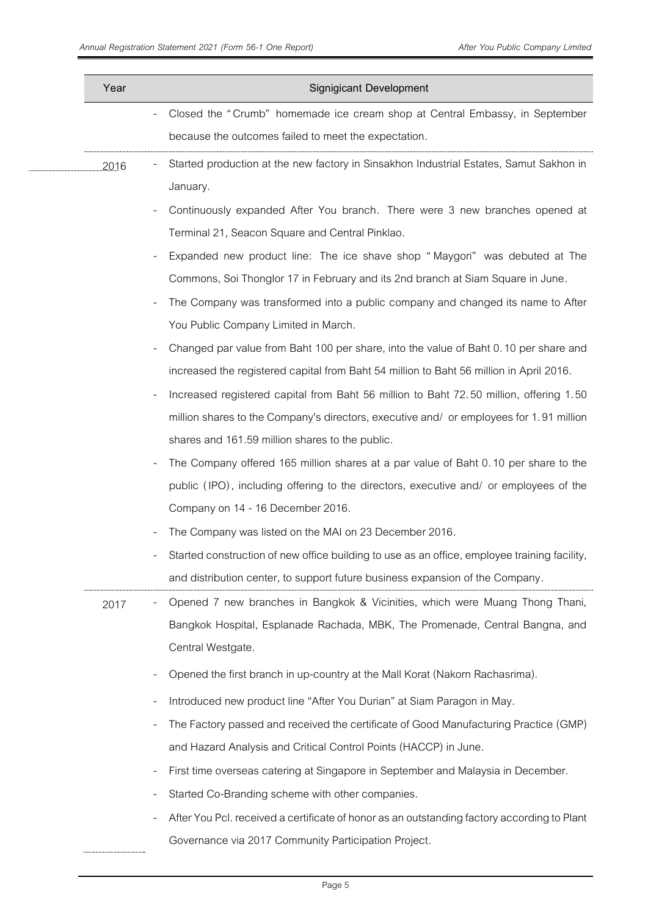| Year | Signigicant Development                                                                                         |
|------|-----------------------------------------------------------------------------------------------------------------|
|      | Closed the "Crumb" homemade ice cream shop at Central Embassy, in September                                     |
|      | because the outcomes failed to meet the expectation.                                                            |
| 2016 | Started production at the new factory in Sinsakhon Industrial Estates, Samut Sakhon in                          |
|      | January.                                                                                                        |
|      | Continuously expanded After You branch. There were 3 new branches opened at                                     |
|      | Terminal 21, Seacon Square and Central Pinklao.                                                                 |
|      | Expanded new product line: The ice shave shop "Maygori" was debuted at The                                      |
|      | Commons, Soi Thonglor 17 in February and its 2nd branch at Siam Square in June.                                 |
|      | The Company was transformed into a public company and changed its name to After<br>$\overline{a}$               |
|      | You Public Company Limited in March.                                                                            |
|      | Changed par value from Baht 100 per share, into the value of Baht 0.10 per share and<br>$\overline{a}$          |
|      | increased the registered capital from Baht 54 million to Baht 56 million in April 2016.                         |
|      | Increased registered capital from Baht 56 million to Baht 72.50 million, offering 1.50<br>$\overline{a}$        |
|      | million shares to the Company's directors, executive and/ or employees for 1.91 million                         |
|      | shares and 161.59 million shares to the public.                                                                 |
|      | The Company offered 165 million shares at a par value of Baht 0.10 per share to the<br>$\overline{\phantom{0}}$ |
|      | public (IPO), including offering to the directors, executive and/ or employees of the                           |
|      | Company on 14 - 16 December 2016.                                                                               |
|      | The Company was listed on the MAI on 23 December 2016.                                                          |
|      | Started construction of new office building to use as an office, employee training facility,                    |
|      | and distribution center, to support future business expansion of the Company.                                   |
| 2017 | Opened 7 new branches in Bangkok & Vicinities, which were Muang Thong Thani,<br>$\qquad \qquad \blacksquare$    |
|      | Bangkok Hospital, Esplanade Rachada, MBK, The Promenade, Central Bangna, and                                    |
|      | Central Westgate.                                                                                               |
|      | Opened the first branch in up-country at the Mall Korat (Nakorn Rachasrima).                                    |
|      | Introduced new product line "After You Durian" at Siam Paragon in May.<br>$\overline{a}$                        |
|      | The Factory passed and received the certificate of Good Manufacturing Practice (GMP)                            |
|      | and Hazard Analysis and Critical Control Points (HACCP) in June.                                                |
|      | First time overseas catering at Singapore in September and Malaysia in December.<br>$\overline{a}$              |
|      | Started Co-Branding scheme with other companies.                                                                |
|      | After You Pcl. received a certificate of honor as an outstanding factory according to Plant                     |
|      | Governance via 2017 Community Participation Project.                                                            |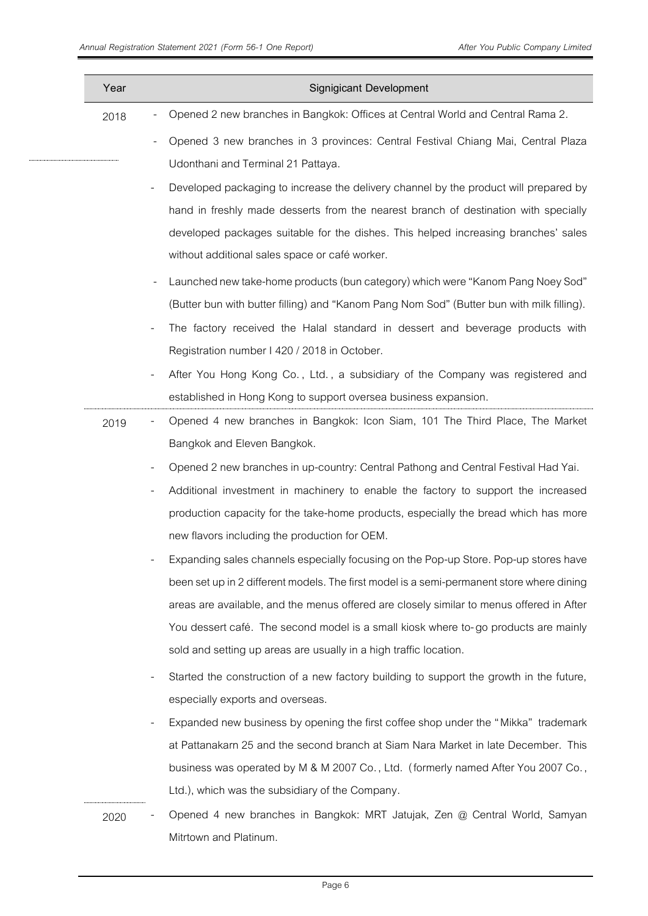$...........$ 

| Year | Signigicant Development                                                                                             |
|------|---------------------------------------------------------------------------------------------------------------------|
| 2018 | Opened 2 new branches in Bangkok: Offices at Central World and Central Rama 2.                                      |
|      | Opened 3 new branches in 3 provinces: Central Festival Chiang Mai, Central Plaza                                    |
|      | Udonthani and Terminal 21 Pattaya.                                                                                  |
|      | Developed packaging to increase the delivery channel by the product will prepared by                                |
|      | hand in freshly made desserts from the nearest branch of destination with specially                                 |
|      | developed packages suitable for the dishes. This helped increasing branches' sales                                  |
|      | without additional sales space or café worker.                                                                      |
|      | Launched new take-home products (bun category) which were "Kanom Pang Noey Sod"                                     |
|      | (Butter bun with butter filling) and "Kanom Pang Nom Sod" (Butter bun with milk filling).                           |
|      | The factory received the Halal standard in dessert and beverage products with                                       |
|      | Registration number I 420 / 2018 in October.                                                                        |
|      | After You Hong Kong Co., Ltd., a subsidiary of the Company was registered and                                       |
|      | established in Hong Kong to support oversea business expansion.                                                     |
| 2019 | Opened 4 new branches in Bangkok: Icon Siam, 101 The Third Place, The Market                                        |
|      | Bangkok and Eleven Bangkok.                                                                                         |
|      | Opened 2 new branches in up-country: Central Pathong and Central Festival Had Yai.                                  |
|      | Additional investment in machinery to enable the factory to support the increased                                   |
|      | production capacity for the take-home products, especially the bread which has more                                 |
|      | new flavors including the production for OEM.                                                                       |
|      | Expanding sales channels especially focusing on the Pop-up Store. Pop-up stores have                                |
|      | been set up in 2 different models. The first model is a semi-permanent store where dining                           |
|      | areas are available, and the menus offered are closely similar to menus offered in After                            |
|      | You dessert café. The second model is a small kiosk where to-go products are mainly                                 |
|      | sold and setting up areas are usually in a high traffic location.                                                   |
|      | Started the construction of a new factory building to support the growth in the future,<br>$\overline{\phantom{a}}$ |
|      | especially exports and overseas.                                                                                    |
|      | Expanded new business by opening the first coffee shop under the "Mikka" trademark                                  |
|      | at Pattanakarn 25 and the second branch at Siam Nara Market in late December. This                                  |
|      | business was operated by M & M 2007 Co., Ltd. (formerly named After You 2007 Co.,                                   |
|      | Ltd.), which was the subsidiary of the Company.                                                                     |
| 2020 | Opened 4 new branches in Bangkok: MRT Jatujak, Zen @ Central World, Samyan                                          |
|      | Mitrtown and Platinum.                                                                                              |